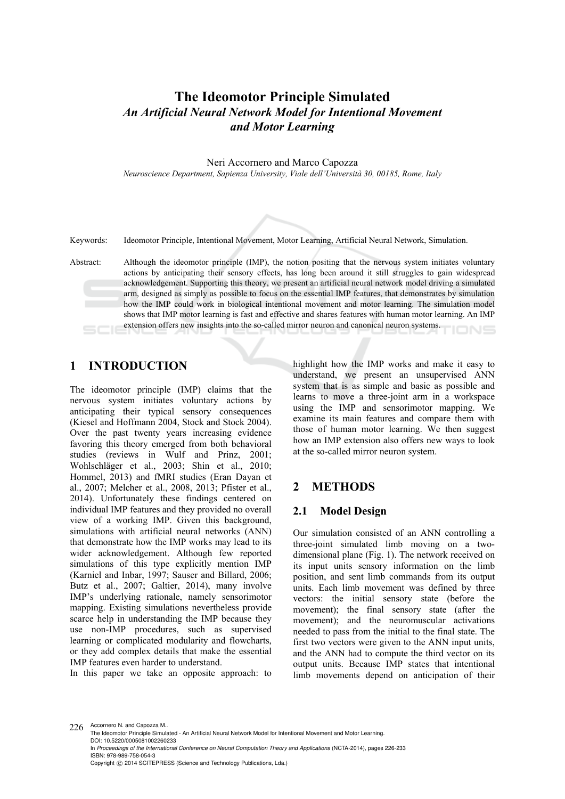# **The Ideomotor Principle Simulated**  *An Artificial Neural Network Model for Intentional Movement and Motor Learning*

Neri Accornero and Marco Capozza

*Neuroscience Department, Sapienza University, Viale dell'Università 30, 00185, Rome, Italy* 



Keywords: Ideomotor Principle, Intentional Movement, Motor Learning, Artificial Neural Network, Simulation.

Abstract: Although the ideomotor principle (IMP), the notion positing that the nervous system initiates voluntary actions by anticipating their sensory effects, has long been around it still struggles to gain widespread acknowledgement. Supporting this theory, we present an artificial neural network model driving a simulated arm, designed as simply as possible to focus on the essential IMP features, that demonstrates by simulation how the IMP could work in biological intentional movement and motor learning. The simulation model shows that IMP motor learning is fast and effective and shares features with human motor learning. An IMP extension offers new insights into the so-called mirror neuron and canonical neuron systems.

# **1 INTRODUCTION**

The ideomotor principle (IMP) claims that the nervous system initiates voluntary actions by anticipating their typical sensory consequences (Kiesel and Hoffmann 2004, Stock and Stock 2004). Over the past twenty years increasing evidence favoring this theory emerged from both behavioral studies (reviews in Wulf and Prinz, 2001; Wohlschläger et al., 2003; Shin et al., 2010; Hommel, 2013) and fMRI studies (Eran Dayan et al., 2007; Melcher et al., 2008, 2013; Pfister et al., 2014). Unfortunately these findings centered on individual IMP features and they provided no overall view of a working IMP. Given this background, simulations with artificial neural networks (ANN) that demonstrate how the IMP works may lead to its wider acknowledgement. Although few reported simulations of this type explicitly mention IMP (Karniel and Inbar, 1997; Sauser and Billard, 2006; Butz et al., 2007; Galtier, 2014), many involve IMP's underlying rationale, namely sensorimotor mapping. Existing simulations nevertheless provide scarce help in understanding the IMP because they use non-IMP procedures, such as supervised learning or complicated modularity and flowcharts, or they add complex details that make the essential IMP features even harder to understand.

In this paper we take an opposite approach: to

highlight how the IMP works and make it easy to understand, we present an unsupervised ANN system that is as simple and basic as possible and learns to move a three-joint arm in a workspace using the IMP and sensorimotor mapping. We examine its main features and compare them with those of human motor learning. We then suggest how an IMP extension also offers new ways to look at the so-called mirror neuron system.

### **2 METHODS**

#### **2.1 Model Design**

Our simulation consisted of an ANN controlling a three-joint simulated limb moving on a twodimensional plane (Fig. 1). The network received on its input units sensory information on the limb position, and sent limb commands from its output units. Each limb movement was defined by three vectors: the initial sensory state (before the movement); the final sensory state (after the movement); and the neuromuscular activations needed to pass from the initial to the final state. The first two vectors were given to the ANN input units, and the ANN had to compute the third vector on its output units. Because IMP states that intentional limb movements depend on anticipation of their

226 Accornero N. and Capozza M.. The Ideomotor Principle Simulated - An Artificial Neural Network Model for Intentional Movement and Motor Learning. DOI: 10.5220/0005081002260233 In *Proceedings of the International Conference on Neural Computation Theory and Applications* (NCTA-2014), pages 226-233 ISBN: 978-989-758-054-3 Copyright © 2014 SCITEPRESS (Science and Technology Publications, Lda.)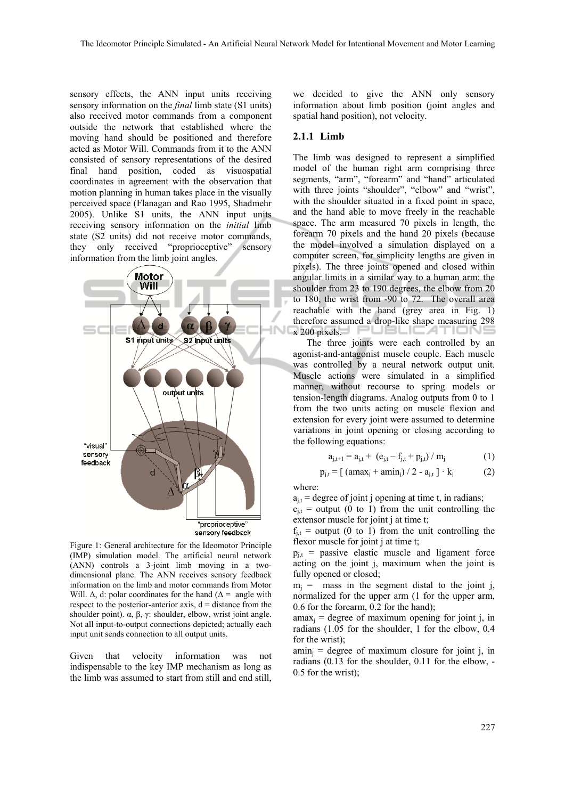sensory effects, the ANN input units receiving sensory information on the *final* limb state (S1 units) also received motor commands from a component outside the network that established where the moving hand should be positioned and therefore acted as Motor Will. Commands from it to the ANN consisted of sensory representations of the desired final hand position, coded as visuospatial coordinates in agreement with the observation that motion planning in human takes place in the visually perceived space (Flanagan and Rao 1995, Shadmehr 2005). Unlike S1 units, the ANN input units receiving sensory information on the *initial* limb state (S2 units) did not receive motor commands, they only received "proprioceptive" sensory information from the limb joint angles.



Figure 1: General architecture for the Ideomotor Principle (IMP) simulation model. The artificial neural network (ANN) controls a 3-joint limb moving in a twodimensional plane. The ANN receives sensory feedback information on the limb and motor commands from Motor Will.  $\Delta$ , d: polar coordinates for the hand ( $\Delta$  = angle with respect to the posterior-anterior axis,  $d =$  distance from the shoulder point).  $\alpha$ ,  $\beta$ ,  $\gamma$ : shoulder, elbow, wrist joint angle. Not all input-to-output connections depicted; actually each input unit sends connection to all output units.

Given that velocity information was not indispensable to the key IMP mechanism as long as the limb was assumed to start from still and end still,

we decided to give the ANN only sensory information about limb position (joint angles and spatial hand position), not velocity.

#### **2.1.1 Limb**

The limb was designed to represent a simplified model of the human right arm comprising three segments, "arm", "forearm" and "hand" articulated with three joints "shoulder", "elbow" and "wrist", with the shoulder situated in a fixed point in space, and the hand able to move freely in the reachable space. The arm measured 70 pixels in length, the forearm 70 pixels and the hand 20 pixels (because the model involved a simulation displayed on a computer screen, for simplicity lengths are given in pixels). The three joints opened and closed within angular limits in a similar way to a human arm: the shoulder from 23 to 190 degrees, the elbow from 20 to 180, the wrist from -90 to 72. The overall area reachable with the hand (grey area in Fig. 1) therefore assumed a drop-like shape measuring 298 x 200 pixels. רושו

The three joints were each controlled by an agonist-and-antagonist muscle couple. Each muscle was controlled by a neural network output unit. Muscle actions were simulated in a simplified manner, without recourse to spring models or tension-length diagrams. Analog outputs from 0 to 1 from the two units acting on muscle flexion and extension for every joint were assumed to determine variations in joint opening or closing according to the following equations:

$$
a_{i,t+1} = a_{i,t} + (e_{i,t} - f_{i,t} + p_{i,t}) / m_i
$$
 (1)

$$
p_{j,t} = [ (ama x_j + a min_j) / 2 - a_{j,t} ] \cdot k_j \tag{2}
$$

where:

 $a_{i,t}$  = degree of joint j opening at time t, in radians;

 $e_{i,t}$  = output (0 to 1) from the unit controlling the extensor muscle for joint j at time t;

 $f_{i,t}$  = output (0 to 1) from the unit controlling the flexor muscle for joint j at time t;

 $p_{i,t}$  = passive elastic muscle and ligament force acting on the joint j, maximum when the joint is fully opened or closed;

 $m_i$  = mass in the segment distal to the joint j, normalized for the upper arm (1 for the upper arm, 0.6 for the forearm, 0.2 for the hand);

 $amax_i$  = degree of maximum opening for joint j, in radians (1.05 for the shoulder, 1 for the elbow, 0.4 for the wrist);

 $\text{amin}_i = \text{degree of maximum closure for joint } j$ , in radians (0.13 for the shoulder, 0.11 for the elbow, - 0.5 for the wrist);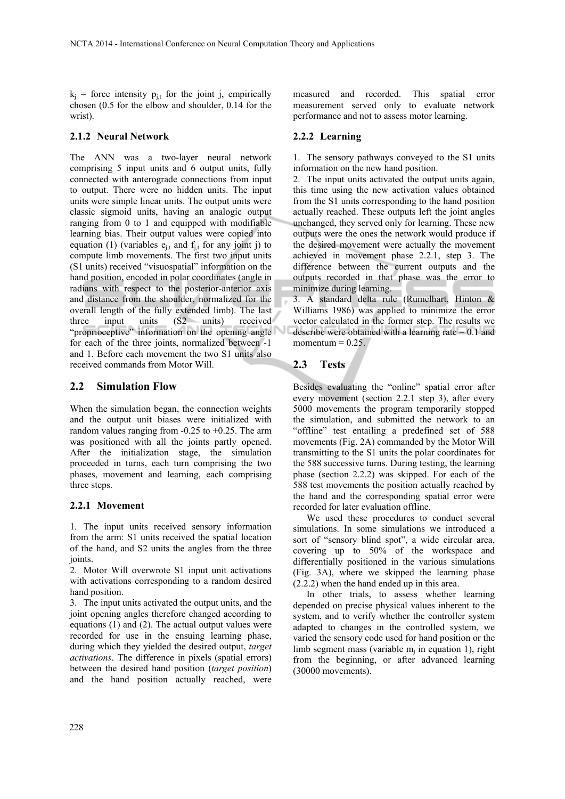$k_i$  = force intensity  $p_{i,t}$  for the joint j, empirically chosen (0.5 for the elbow and shoulder, 0.14 for the wrist).

#### **2.1.2 Neural Network**

The ANN was a two-layer neural network comprising 5 input units and 6 output units, fully connected with anterograde connections from input to output. There were no hidden units. The input units were simple linear units. The output units were classic sigmoid units, having an analogic output ranging from 0 to 1 and equipped with modifiable learning bias. Their output values were copied into equation (1) (variables  $e_{i}$  and  $f_{i}$  for any joint j) to compute limb movements. The first two input units (S1 units) received "visuospatial" information on the hand position, encoded in polar coordinates (angle in radians with respect to the posterior-anterior axis and distance from the shoulder, normalized for the overall length of the fully extended limb). The last three input units (S2 units) received "proprioceptive" information on the opening angle for each of the three joints, normalized between -1 and 1. Before each movement the two S1 units also received commands from Motor Will.

#### **2.2 Simulation Flow**

When the simulation began, the connection weights and the output unit biases were initialized with random values ranging from  $-0.25$  to  $+0.25$ . The arm was positioned with all the joints partly opened. After the initialization stage, the simulation proceeded in turns, each turn comprising the two phases, movement and learning, each comprising three steps.

#### **2.2.1 Movement**

1. The input units received sensory information from the arm: S1 units received the spatial location of the hand, and S2 units the angles from the three joints.

2. Motor Will overwrote S1 input unit activations with activations corresponding to a random desired hand position.

3. The input units activated the output units, and the joint opening angles therefore changed according to equations (1) and (2). The actual output values were recorded for use in the ensuing learning phase, during which they yielded the desired output, *target activations*. The difference in pixels (spatial errors) between the desired hand position (*target position*) and the hand position actually reached, were

measured and recorded. This spatial error measurement served only to evaluate network performance and not to assess motor learning.

#### **2.2.2 Learning**

1. The sensory pathways conveyed to the S1 units information on the new hand position.

2. The input units activated the output units again, this time using the new activation values obtained from the S1 units corresponding to the hand position actually reached. These outputs left the joint angles unchanged, they served only for learning. These new outputs were the ones the network would produce if the desired movement were actually the movement achieved in movement phase 2.2.1, step 3. The difference between the current outputs and the outputs recorded in that phase was the error to minimize during learning.

3. A standard delta rule (Rumelhart, Hinton  $\&$ Williams 1986) was applied to minimize the error vector calculated in the former step. The results we describe were obtained with a learning rate  $= 0.1$  and momentum  $= 0.25$ .

### **2.3 Tests**

Besides evaluating the "online" spatial error after every movement (section 2.2.1 step 3), after every 5000 movements the program temporarily stopped the simulation, and submitted the network to an "offline" test entailing a predefined set of 588 movements (Fig. 2A) commanded by the Motor Will transmitting to the S1 units the polar coordinates for the 588 successive turns. During testing, the learning phase (section 2.2.2) was skipped. For each of the 588 test movements the position actually reached by the hand and the corresponding spatial error were recorded for later evaluation offline.

We used these procedures to conduct several simulations. In some simulations we introduced a sort of "sensory blind spot", a wide circular area, covering up to 50% of the workspace and differentially positioned in the various simulations (Fig. 3A), where we skipped the learning phase (2.2.2) when the hand ended up in this area.

In other trials, to assess whether learning depended on precise physical values inherent to the system, and to verify whether the controller system adapted to changes in the controlled system, we varied the sensory code used for hand position or the limb segment mass (variable  $m_i$  in equation 1), right from the beginning, or after advanced learning (30000 movements).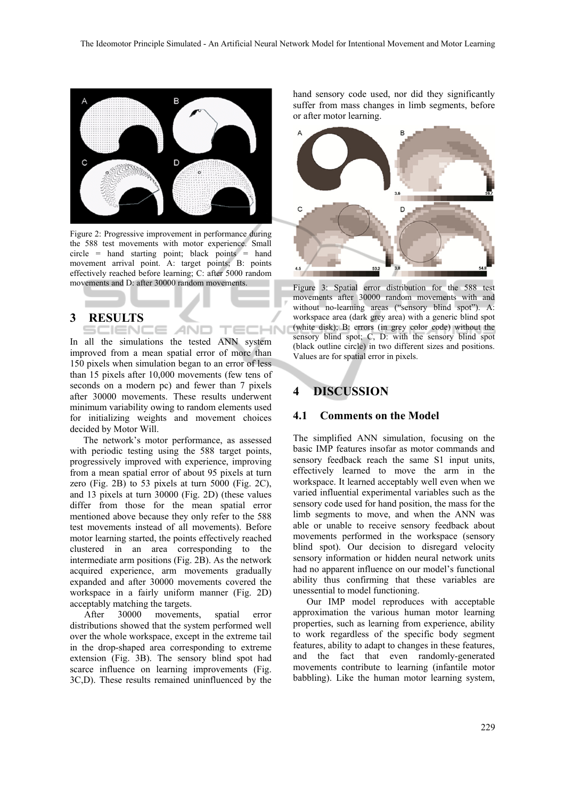

Figure 2: Progressive improvement in performance during the 588 test movements with motor experience. Small circle = hand starting point; black points = hand movement arrival point. A: target points; B: points effectively reached before learning; C: after 5000 random movements and D: after 30000 random movements.

# **3 RESULTS**

SCIENC AND Е In all the simulations the tested ANN system improved from a mean spatial error of more than 150 pixels when simulation began to an error of less than 15 pixels after 10,000 movements (few tens of seconds on a modern pc) and fewer than 7 pixels after 30000 movements. These results underwent minimum variability owing to random elements used for initializing weights and movement choices decided by Motor Will.

The network's motor performance, as assessed with periodic testing using the 588 target points, progressively improved with experience, improving from a mean spatial error of about 95 pixels at turn zero (Fig. 2B) to 53 pixels at turn 5000 (Fig. 2C), and 13 pixels at turn 30000 (Fig. 2D) (these values differ from those for the mean spatial error mentioned above because they only refer to the 588 test movements instead of all movements). Before motor learning started, the points effectively reached clustered in an area corresponding to the intermediate arm positions (Fig. 2B). As the network acquired experience, arm movements gradually expanded and after 30000 movements covered the workspace in a fairly uniform manner (Fig. 2D) acceptably matching the targets.

After 30000 movements, spatial error distributions showed that the system performed well over the whole workspace, except in the extreme tail in the drop-shaped area corresponding to extreme extension (Fig. 3B). The sensory blind spot had scarce influence on learning improvements (Fig. 3C,D). These results remained uninfluenced by the hand sensory code used, nor did they significantly suffer from mass changes in limb segments, before or after motor learning.



Figure 3: Spatial error distribution for the 588 test movements after 30000 random movements with and without no-learning areas ("sensory blind spot"). A: workspace area (dark grey area) with a generic blind spot (white disk); B: errors (in grey color code) without the sensory blind spot; C, D: with the sensory blind spot (black outline circle) in two different sizes and positions. Values are for spatial error in pixels.

### **4 DISCUSSION**

#### **4.1 Comments on the Model**

The simplified ANN simulation, focusing on the basic IMP features insofar as motor commands and sensory feedback reach the same S1 input units, effectively learned to move the arm in the workspace. It learned acceptably well even when we varied influential experimental variables such as the sensory code used for hand position, the mass for the limb segments to move, and when the ANN was able or unable to receive sensory feedback about movements performed in the workspace (sensory blind spot). Our decision to disregard velocity sensory information or hidden neural network units had no apparent influence on our model's functional ability thus confirming that these variables are unessential to model functioning.

Our IMP model reproduces with acceptable approximation the various human motor learning properties, such as learning from experience, ability to work regardless of the specific body segment features, ability to adapt to changes in these features, and the fact that even randomly-generated movements contribute to learning (infantile motor babbling). Like the human motor learning system,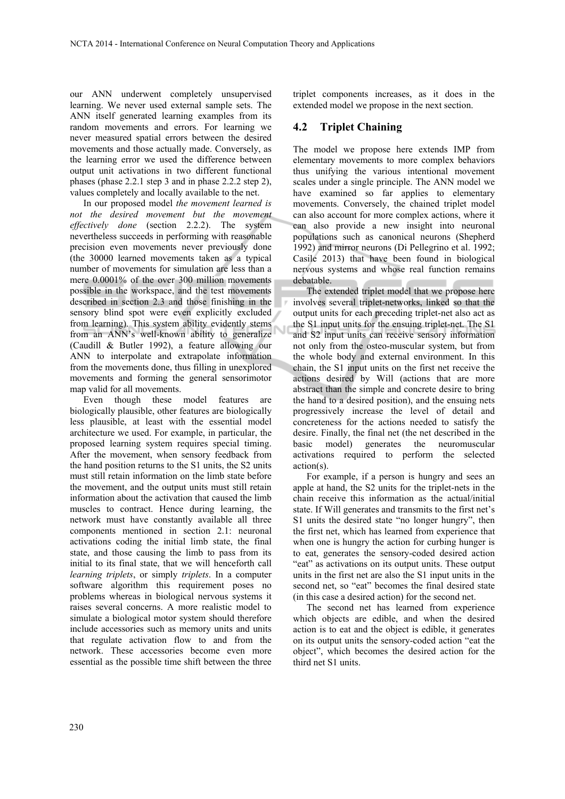our ANN underwent completely unsupervised learning. We never used external sample sets. The ANN itself generated learning examples from its random movements and errors. For learning we never measured spatial errors between the desired movements and those actually made. Conversely, as the learning error we used the difference between output unit activations in two different functional phases (phase 2.2.1 step 3 and in phase 2.2.2 step 2), values completely and locally available to the net.

In our proposed model *the movement learned is not the desired movement but the movement effectively done* (section 2.2.2). The system nevertheless succeeds in performing with reasonable precision even movements never previously done (the 30000 learned movements taken as a typical number of movements for simulation are less than a mere 0.0001% of the over 300 million movements possible in the workspace, and the test movements described in section 2.3 and those finishing in the sensory blind spot were even explicitly excluded from learning). This system ability evidently stems from an ANN's well-known ability to generalize (Caudill & Butler 1992), a feature allowing our ANN to interpolate and extrapolate information from the movements done, thus filling in unexplored movements and forming the general sensorimotor map valid for all movements.

Even though these model features are biologically plausible, other features are biologically less plausible, at least with the essential model architecture we used. For example, in particular, the proposed learning system requires special timing. After the movement, when sensory feedback from the hand position returns to the S1 units, the S2 units must still retain information on the limb state before the movement, and the output units must still retain information about the activation that caused the limb muscles to contract. Hence during learning, the network must have constantly available all three components mentioned in section 2.1: neuronal activations coding the initial limb state, the final state, and those causing the limb to pass from its initial to its final state, that we will henceforth call *learning triplets*, or simply *triplets*. In a computer software algorithm this requirement poses no problems whereas in biological nervous systems it raises several concerns. A more realistic model to simulate a biological motor system should therefore include accessories such as memory units and units that regulate activation flow to and from the network. These accessories become even more essential as the possible time shift between the three

triplet components increases, as it does in the extended model we propose in the next section.

## **4.2 Triplet Chaining**

The model we propose here extends IMP from elementary movements to more complex behaviors thus unifying the various intentional movement scales under a single principle. The ANN model we have examined so far applies to elementary movements. Conversely, the chained triplet model can also account for more complex actions, where it can also provide a new insight into neuronal populations such as canonical neurons (Shepherd 1992) and mirror neurons (Di Pellegrino et al. 1992; Casile 2013) that have been found in biological nervous systems and whose real function remains debatable.

The extended triplet model that we propose here involves several triplet-networks, linked so that the output units for each preceding triplet-net also act as the S1 input units for the ensuing triplet-net. The S1 and S2 input units can receive sensory information not only from the osteo-muscular system, but from the whole body and external environment. In this chain, the S1 input units on the first net receive the actions desired by Will (actions that are more abstract than the simple and concrete desire to bring the hand to a desired position), and the ensuing nets progressively increase the level of detail and concreteness for the actions needed to satisfy the desire. Finally, the final net (the net described in the basic model) generates the neuromuscular activations required to perform the selected action(s).

For example, if a person is hungry and sees an apple at hand, the S2 units for the triplet-nets in the chain receive this information as the actual/initial state. If Will generates and transmits to the first net's S1 units the desired state "no longer hungry", then the first net, which has learned from experience that when one is hungry the action for curbing hunger is to eat, generates the sensory-coded desired action "eat" as activations on its output units. These output units in the first net are also the S1 input units in the second net, so "eat" becomes the final desired state (in this case a desired action) for the second net.

The second net has learned from experience which objects are edible, and when the desired action is to eat and the object is edible, it generates on its output units the sensory-coded action "eat the object", which becomes the desired action for the third net S1 units.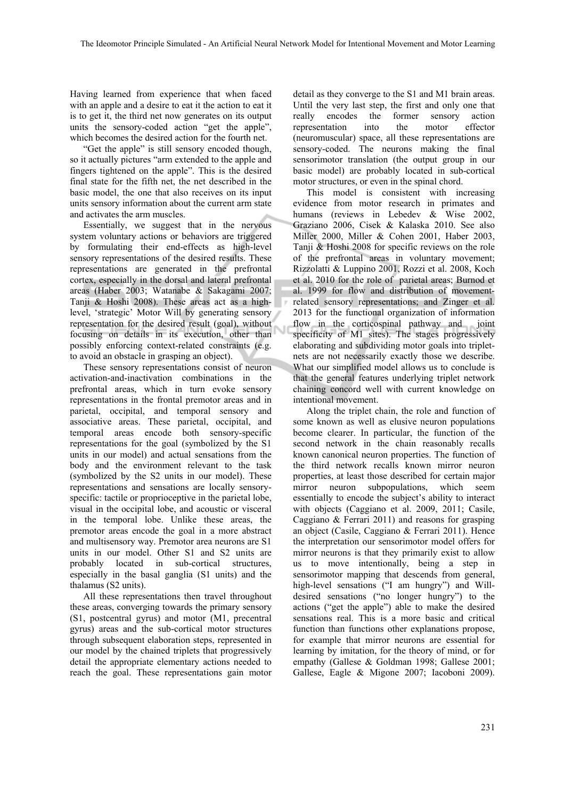Having learned from experience that when faced with an apple and a desire to eat it the action to eat it is to get it, the third net now generates on its output units the sensory-coded action "get the apple", which becomes the desired action for the fourth net.

"Get the apple" is still sensory encoded though, so it actually pictures "arm extended to the apple and fingers tightened on the apple". This is the desired final state for the fifth net, the net described in the basic model, the one that also receives on its input units sensory information about the current arm state and activates the arm muscles.

Essentially, we suggest that in the nervous system voluntary actions or behaviors are triggered by formulating their end-effects as high-level sensory representations of the desired results. These representations are generated in the prefrontal cortex, especially in the dorsal and lateral prefrontal areas (Haber 2003; Watanabe & Sakagami 2007; Tanji & Hoshi 2008). These areas act as a highlevel, 'strategic' Motor Will by generating sensory representation for the desired result (goal), without focusing on details in its execution, other than possibly enforcing context-related constraints (e.g. to avoid an obstacle in grasping an object).

These sensory representations consist of neuron activation-and-inactivation combinations in the prefrontal areas, which in turn evoke sensory representations in the frontal premotor areas and in parietal, occipital, and temporal sensory and associative areas. These parietal, occipital, and temporal areas encode both sensory-specific representations for the goal (symbolized by the S1 units in our model) and actual sensations from the body and the environment relevant to the task (symbolized by the S2 units in our model). These representations and sensations are locally sensoryspecific: tactile or proprioceptive in the parietal lobe, visual in the occipital lobe, and acoustic or visceral in the temporal lobe. Unlike these areas, the premotor areas encode the goal in a more abstract and multisensory way. Premotor area neurons are S1 units in our model. Other S1 and S2 units are probably located in sub-cortical structures, especially in the basal ganglia (S1 units) and the thalamus (S2 units).

All these representations then travel throughout these areas, converging towards the primary sensory (S1, postcentral gyrus) and motor (M1, precentral gyrus) areas and the sub-cortical motor structures through subsequent elaboration steps, represented in our model by the chained triplets that progressively detail the appropriate elementary actions needed to reach the goal. These representations gain motor

detail as they converge to the S1 and M1 brain areas. Until the very last step, the first and only one that really encodes the former sensory action representation into the motor effector (neuromuscular) space, all these representations are sensory-coded. The neurons making the final sensorimotor translation (the output group in our basic model) are probably located in sub-cortical motor structures, or even in the spinal chord.

This model is consistent with increasing evidence from motor research in primates and humans (reviews in Lebedev & Wise 2002, Graziano 2006, Cisek & Kalaska 2010. See also Miller 2000, Miller & Cohen 2001, Haber 2003, Tanji & Hoshi 2008 for specific reviews on the role of the prefrontal areas in voluntary movement; Rizzolatti & Luppino 2001, Rozzi et al. 2008, Koch et al. 2010 for the role of parietal areas; Burnod et al. 1999 for flow and distribution of movementrelated sensory representations; and Zinger et al. 2013 for the functional organization of information flow in the corticospinal pathway and joint specificity of M1 sites). The stages progressively elaborating and subdividing motor goals into tripletnets are not necessarily exactly those we describe. What our simplified model allows us to conclude is that the general features underlying triplet network chaining concord well with current knowledge on intentional movement.

Along the triplet chain, the role and function of some known as well as elusive neuron populations become clearer. In particular, the function of the second network in the chain reasonably recalls known canonical neuron properties. The function of the third network recalls known mirror neuron properties, at least those described for certain major mirror neuron subpopulations, which seem essentially to encode the subject's ability to interact with objects (Caggiano et al. 2009, 2011; Casile, Caggiano & Ferrari 2011) and reasons for grasping an object (Casile, Caggiano & Ferrari 2011). Hence the interpretation our sensorimotor model offers for mirror neurons is that they primarily exist to allow us to move intentionally, being a step in sensorimotor mapping that descends from general, high-level sensations ("I am hungry") and Willdesired sensations ("no longer hungry") to the actions ("get the apple") able to make the desired sensations real. This is a more basic and critical function than functions other explanations propose, for example that mirror neurons are essential for learning by imitation, for the theory of mind, or for empathy (Gallese & Goldman 1998; Gallese 2001; Gallese, Eagle & Migone 2007; Iacoboni 2009).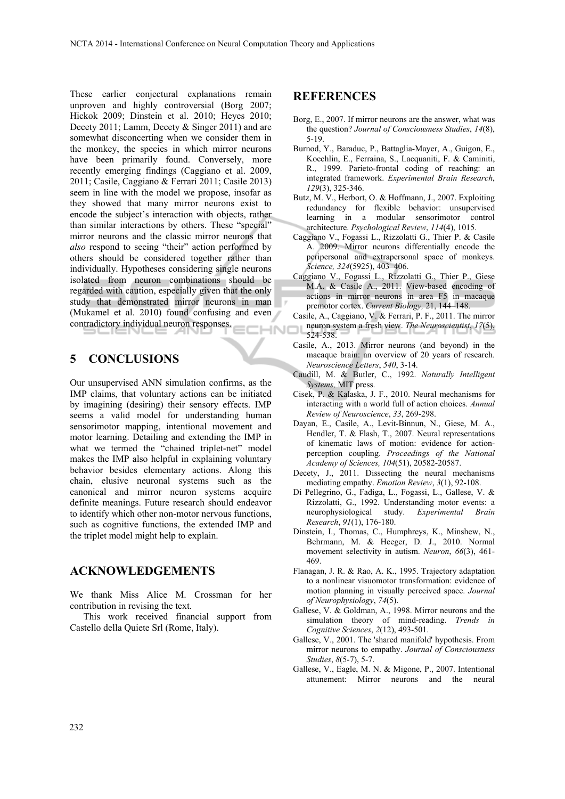These earlier conjectural explanations remain unproven and highly controversial (Borg 2007; Hickok 2009; Dinstein et al. 2010; Heyes 2010; Decety 2011; Lamm, Decety & Singer 2011) and are somewhat disconcerting when we consider them in the monkey, the species in which mirror neurons have been primarily found. Conversely, more recently emerging findings (Caggiano et al. 2009, 2011; Casile, Caggiano & Ferrari 2011; Casile 2013) seem in line with the model we propose, insofar as they showed that many mirror neurons exist to encode the subject's interaction with objects, rather than similar interactions by others. These "special" mirror neurons and the classic mirror neurons that *also* respond to seeing "their" action performed by others should be considered together rather than individually. Hypotheses considering single neurons isolated from neuron combinations should be regarded with caution, especially given that the only study that demonstrated mirror neurons in man (Mukamel et al. 2010) found confusing and even contradictory individual neuron responses. -INK

# **5 CONCLUSIONS**

Our unsupervised ANN simulation confirms, as the IMP claims, that voluntary actions can be initiated by imagining (desiring) their sensory effects. IMP seems a valid model for understanding human sensorimotor mapping, intentional movement and motor learning. Detailing and extending the IMP in what we termed the "chained triplet-net" model makes the IMP also helpful in explaining voluntary behavior besides elementary actions. Along this chain, elusive neuronal systems such as the canonical and mirror neuron systems acquire definite meanings. Future research should endeavor to identify which other non-motor nervous functions, such as cognitive functions, the extended IMP and the triplet model might help to explain.

### **ACKNOWLEDGEMENTS**

We thank Miss Alice M. Crossman for her contribution in revising the text.

This work received financial support from Castello della Quiete Srl (Rome, Italy).

#### **REFERENCES**

- Borg, E., 2007. If mirror neurons are the answer, what was the question? *Journal of Consciousness Studies*, *14*(8), 5-19.
- Burnod, Y., Baraduc, P., Battaglia-Mayer, A., Guigon, E., Koechlin, E., Ferraina, S., Lacquaniti, F. & Caminiti, R., 1999. Parieto-frontal coding of reaching: an integrated framework. *Experimental Brain Research*, *129*(3), 325-346.
- Butz, M. V., Herbort, O. & Hoffmann, J., 2007. Exploiting redundancy for flexible behavior: unsupervised learning in a modular sensorimotor control architecture. *Psychological Review*, *114*(4), 1015.
- Caggiano V., Fogassi L., Rizzolatti G., Thier P. & Casile A. 2009. Mirror neurons differentially encode the peripersonal and extrapersonal space of monkeys. *Science, 324*(5925), 403–406.
- Caggiano V., Fogassi L., Rizzolatti G., Thier P., Giese M.A. & Casile A., 2011. View-based encoding of actions in mirror neurons in area F5 in macaque premotor cortex. *Current Biology,* 21, 144–148.
- Casile, A., Caggiano, V. & Ferrari, P. F., 2011. The mirror neuron system a fresh view. *The Neuroscientist*, *17*(5), 524-538.
- Casile, A., 2013. Mirror neurons (and beyond) in the macaque brain: an overview of 20 years of research. *Neuroscience Letters*, *540*, 3-14.
- Caudill, M. & Butler, C., 1992. *Naturally Intelligent Systems,* MIT press.
- Cisek, P. & Kalaska, J. F., 2010. Neural mechanisms for interacting with a world full of action choices. *Annual Review of Neuroscience*, *33*, 269-298.
- Dayan, E., Casile, A., Levit-Binnun, N., Giese, M. A., Hendler, T. & Flash, T., 2007. Neural representations of kinematic laws of motion: evidence for actionperception coupling. *Proceedings of the National Academy of Sciences, 104*(51), 20582-20587.
- Decety, J., 2011. Dissecting the neural mechanisms mediating empathy. *Emotion Review*, *3*(1), 92-108.
- Di Pellegrino, G., Fadiga, L., Fogassi, L., Gallese, V. & Rizzolatti, G., 1992. Understanding motor events: a neurophysiological study. *Experimental Brain Research*, *91*(1), 176-180.
- Dinstein, I., Thomas, C., Humphreys, K., Minshew, N., Behrmann, M. & Heeger, D. J., 2010. Normal movement selectivity in autism. *Neuron*, *66*(3), 461- 469.
- Flanagan, J. R. & Rao, A. K., 1995. Trajectory adaptation to a nonlinear visuomotor transformation: evidence of motion planning in visually perceived space. *Journal of Neurophysiology*, *74*(5).
- Gallese, V. & Goldman, A., 1998. Mirror neurons and the simulation theory of mind-reading. *Trends in Cognitive Sciences*, *2*(12), 493-501.
- Gallese, V., 2001. The 'shared manifold' hypothesis. From mirror neurons to empathy. *Journal of Consciousness Studies*, *8*(5-7), 5-7.
- Gallese, V., Eagle, M. N. & Migone, P., 2007. Intentional attunement: Mirror neurons and the neural